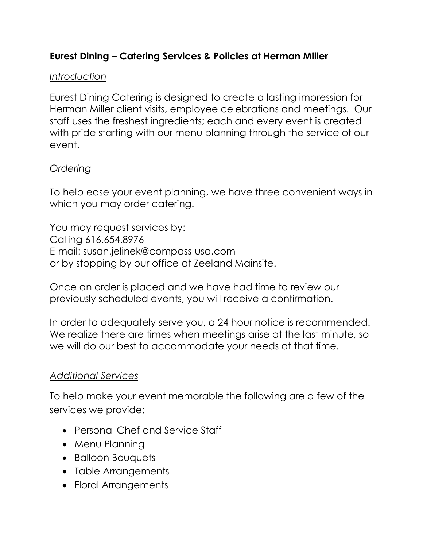## **Eurest Dining – Catering Services & Policies at Herman Miller**

### *Introduction*

Eurest Dining Catering is designed to create a lasting impression for Herman Miller client visits, employee celebrations and meetings. Our staff uses the freshest ingredients; each and every event is created with pride starting with our menu planning through the service of our event.

### *Ordering*

To help ease your event planning, we have three convenient ways in which you may order catering.

You may request services by: Calling 616.654.8976 E-mail: susan.jelinek@compass-usa.com or by stopping by our office at Zeeland Mainsite.

Once an order is placed and we have had time to review our previously scheduled events, you will receive a confirmation.

In order to adequately serve you, a 24 hour notice is recommended. We realize there are times when meetings arise at the last minute, so we will do our best to accommodate your needs at that time.

### *Additional Services*

To help make your event memorable the following are a few of the services we provide:

- Personal Chef and Service Staff
- Menu Planning
- **•** Balloon Bouquets
- Table Arrangements
- Floral Arrangements